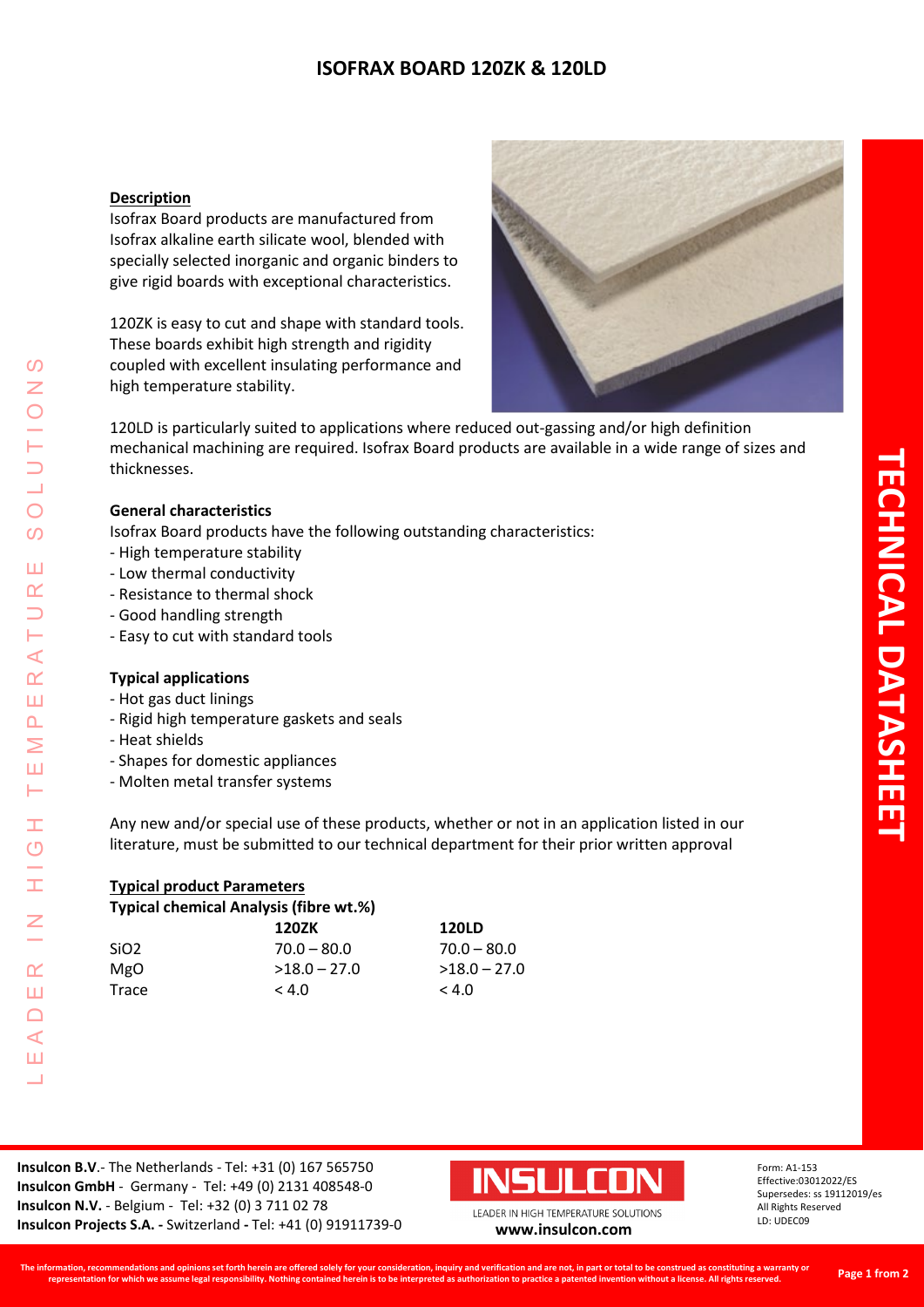# **ISOFRAX BOARD 120ZK & 120LD**

#### **Description**

Isofrax Board products are manufactured from Isofrax alkaline earth silicate wool, blended with specially selected inorganic and organic binders to give rigid boards with exceptional characteristics.

120ZK is easy to cut and shape with standard tools. These boards exhibit high strength and rigidity coupled with excellent insulating performance and high temperature stability.



120LD is particularly suited to applications where reduced out-gassing and/or high definition mechanical machining are required. Isofrax Board products are available in a wide range of sizes and thicknesses.

#### **General characteristics**

Isofrax Board products have the following outstanding characteristics:

- High temperature stability
- Low thermal conductivity
- Resistance to thermal shock
- Good handling strength
- Easy to cut with standard tools

#### **Typical applications**

- Hot gas duct linings
- Rigid high temperature gaskets and seals
- Heat shields

LEADER IN HIGH TEMPERATURE SOLUTIONS

Ŧ  $\overline{O}$ 

Ŧ

 $\overline{z}$ 

 $\alpha$ Ш  $\Box$  $\triangleleft$ Ш  $\overline{\phantom{0}}$ 

 $\prec$  $\alpha$ Ш  $\Delta$ Σ Ш ⊢

 $\mathcal{O}$  $\overline{z}$ 

 $\bigcirc$  $\overline{O}$ 

Ш  $\alpha$  $\overline{\phantom{0}}$ 

- Shapes for domestic appliances
- Molten metal transfer systems

Any new and/or special use of these products, whether or not in an application listed in our literature, must be submitted to our technical department for their prior written approval

| <b>Typical product Parameters</b> |                                        |                |  |  |
|-----------------------------------|----------------------------------------|----------------|--|--|
|                                   | Typical chemical Analysis (fibre wt.%) |                |  |  |
|                                   | 120ZK                                  | <b>120LD</b>   |  |  |
| SiO <sub>2</sub>                  | $70.0 - 80.0$                          | $70.0 - 80.0$  |  |  |
| <b>MgO</b>                        | $>18.0 - 27.0$                         | $>18.0 - 27.0$ |  |  |
| Trace                             | < 4.0                                  | < 4.0          |  |  |

**Insulcon B.V**.- The Netherlands - Tel: +31 (0) 167 565750 **Insulcon GmbH** - Germany - Tel: +49 (0) 2131 408548-0 **Insulcon N.V.** - Belgium - Tel: +32 (0) 3 711 02 78 **Insulcon Projects S.A. -** Switzerland **-** Tel: +41 (0) 91911739-0 **[www.insulcon.com](http://www.insulcon.com/)**



Form: A1-153 Effective:03012022/ES Supersedes: ss 19112019/es All Rights Reserved LD: UDEC09